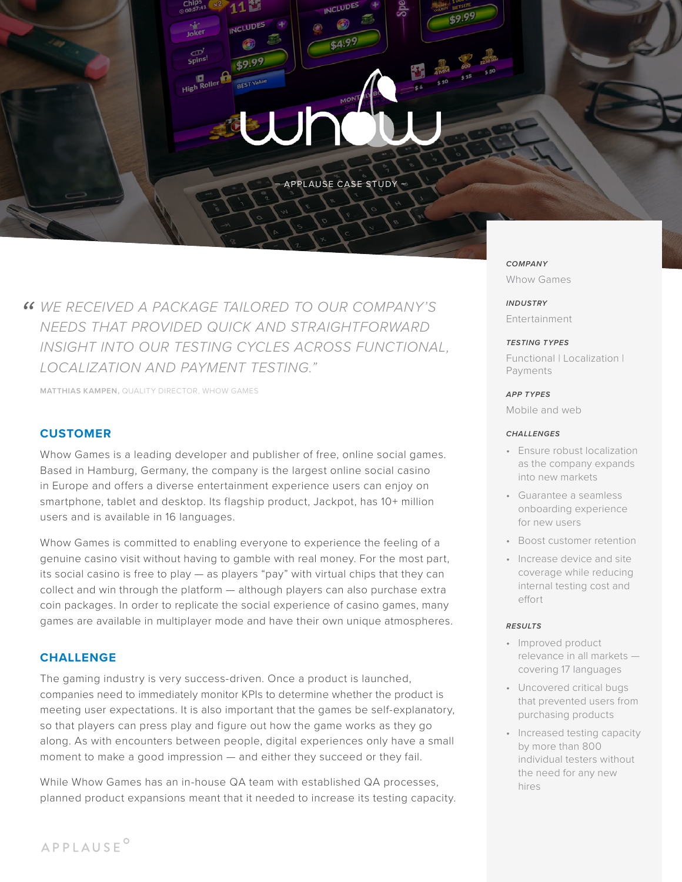# High Roller Jł

– APPLAUSE CASE STUDY –

*WE RECEIVED A PACKAGE TAILORED TO OUR COMPANY'S " NEEDS THAT PROVIDED QUICK AND STRAIGHTFORWARD INSIGHT INTO OUR TESTING CYCLES ACROSS FUNCTIONAL, LOCALIZATION AND PAYMENT TESTING."*

 $-7.41$ 

**INCLUDES** 

**MATTHIAS KAMPEN,** QUALITY DIRECTOR, WHOW GAMES

# **CUSTOMER**

Whow Games is a leading developer and publisher of free, online social games. Based in Hamburg, Germany, the company is the largest online social casino in Europe and offers a diverse entertainment experience users can enjoy on smartphone, tablet and desktop. Its flagship product, Jackpot, has 10+ million users and is available in 16 languages.

Whow Games is committed to enabling everyone to experience the feeling of a genuine casino visit without having to gamble with real money. For the most part, its social casino is free to play — as players "pay" with virtual chips that they can collect and win through the platform — although players can also purchase extra coin packages. In order to replicate the social experience of casino games, many games are available in multiplayer mode and have their own unique atmospheres.

# **CHALLENGE**

The gaming industry is very success-driven. Once a product is launched, companies need to immediately monitor KPIs to determine whether the product is meeting user expectations. It is also important that the games be self-explanatory, so that players can press play and figure out how the game works as they go along. As with encounters between people, digital experiences only have a small moment to make a good impression — and either they succeed or they fail.

While Whow Games has an in-house QA team with established QA processes, planned product expansions meant that it needed to increase its testing capacity. *COMPANY* Whow Games

*INDUSTRY* Entertainment

#### *TESTING TYPES*

Functional | Localization | Payments

### *APP TYPES*

Mobile and web

#### *CHALLENGES*

- Ensure robust localization as the company expands into new markets
- Guarantee a seamless onboarding experience for new users
- Boost customer retention
- Increase device and site coverage while reducing internal testing cost and effort

#### *RESULTS*

- Improved product relevance in all markets covering 17 languages
- Uncovered critical bugs that prevented users from purchasing products
- Increased testing capacity by more than 800 individual testers without the need for any new hires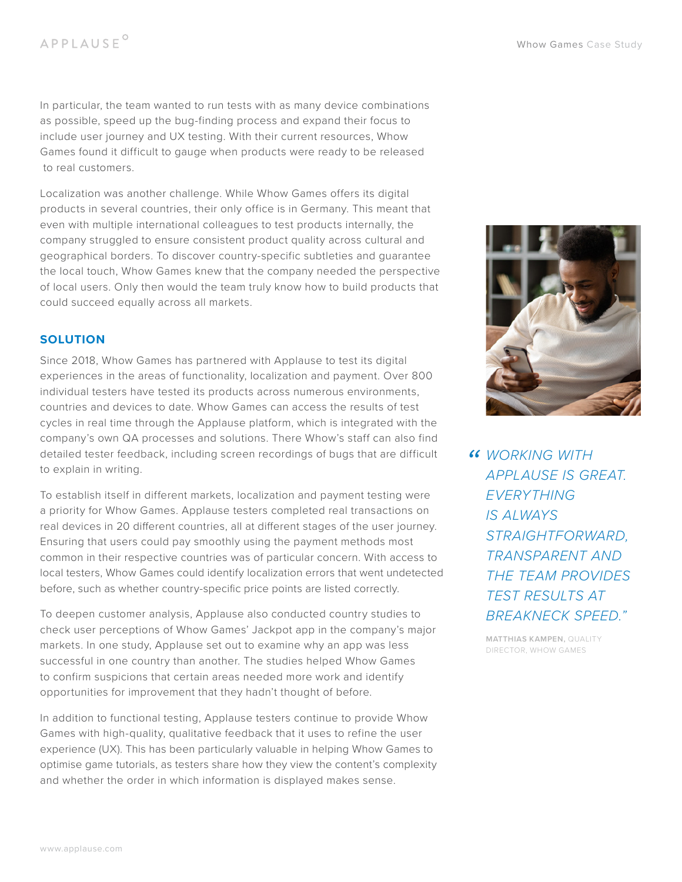In particular, the team wanted to run tests with as many device combinations as possible, speed up the bug-finding process and expand their focus to include user journey and UX testing. With their current resources, Whow Games found it difficult to gauge when products were ready to be released to real customers.

Localization was another challenge. While Whow Games offers its digital products in several countries, their only office is in Germany. This meant that even with multiple international colleagues to test products internally, the company struggled to ensure consistent product quality across cultural and geographical borders. To discover country-specific subtleties and guarantee the local touch, Whow Games knew that the company needed the perspective of local users. Only then would the team truly know how to build products that could succeed equally across all markets.

# **SOLUTION**

Since 2018, Whow Games has partnered with Applause to test its digital experiences in the areas of functionality, localization and payment. Over 800 individual testers have tested its products across numerous environments, countries and devices to date. Whow Games can access the results of test cycles in real time through the Applause platform, which is integrated with the company's own QA processes and solutions. There Whow's staff can also find detailed tester feedback, including screen recordings of bugs that are difficult to explain in writing.

To establish itself in different markets, localization and payment testing were a priority for Whow Games. Applause testers completed real transactions on real devices in 20 different countries, all at different stages of the user journey. Ensuring that users could pay smoothly using the payment methods most common in their respective countries was of particular concern. With access to local testers, Whow Games could identify localization errors that went undetected before, such as whether country-specific price points are listed correctly.

To deepen customer analysis, Applause also conducted country studies to check user perceptions of Whow Games' Jackpot app in the company's major markets. In one study, Applause set out to examine why an app was less successful in one country than another. The studies helped Whow Games to confirm suspicions that certain areas needed more work and identify opportunities for improvement that they hadn't thought of before.

In addition to functional testing, Applause testers continue to provide Whow Games with high-quality, qualitative feedback that it uses to refine the user experience (UX). This has been particularly valuable in helping Whow Games to optimise game tutorials, as testers share how they view the content's complexity and whether the order in which information is displayed makes sense.



*" WORKING WITH APPLAUSE IS GREAT. EVERYTHING IS ALWAYS STRAIGHTFORWARD, TRANSPARENT AND THE TEAM PROVIDES TEST RESULTS AT BREAKNECK SPEED."*

> **MATTHIAS KAMPEN,** QUALITY DIRECTOR, WHOW GAMES